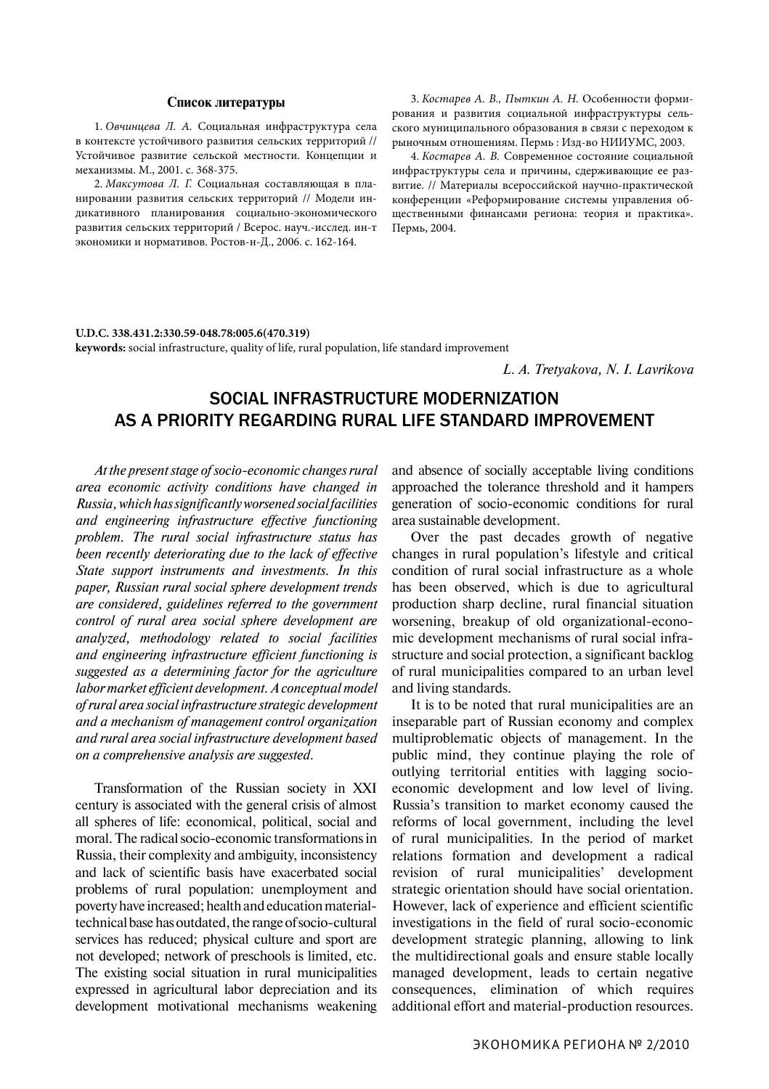**keywords:** social infrastructure, quality of life, rural population, life standard improvement

## Social infrastructure Modernization as a priority regarding rural life standard improvement

*At the present stage of socio-economic changes rural area economic activity conditions have changed in Russia, which has significantly worsened social facilities and engineering infrastructure effective functioning problem. The rural social infrastructure status has been recently deteriorating due to the lack of effective State support instruments and investments. In this paper, Russian rural social sphere development trends are considered, guidelines referred to the government control of rural area social sphere development are analyzed, methodology related to social facilities and engineering infrastructure efficient functioning is suggested as a determining factor for the agriculture labor market efficient development. A conceptual model of rural area social infrastructure strategic development and a mechanism of management control organization and rural area social infrastructure development based on a comprehensive analysis are suggested.*

Transformation of the Russian society in XXI century is associated with the general crisis of almost all spheres of life: economical, political, social and moral. The radical socio-economic transformations in Russia, their complexity and ambiguity, inconsistency and lack of scientific basis have exacerbated social problems of rural population: unemployment and poverty have increased; health and education materialtechnical base has outdated, the range of socio-cultural services has reduced; physical culture and sport are not developed; network of preschools is limited, etc. The existing social situation in rural municipalities expressed in agricultural labor depreciation and its development motivational mechanisms weakening and absence of socially acceptable living conditions approached the tolerance threshold and it hampers generation of socio-economic conditions for rural area sustainable development.

Over the past decades growth of negative changes in rural population's lifestyle and critical condition of rural social infrastructure as a whole has been observed, which is due to agricultural production sharp decline, rural financial situation worsening, breakup of old organizational-economic development mechanisms of rural social infrastructure and social protection, a significant backlog of rural municipalities compared to an urban level and living standards.

It is to be noted that rural municipalities are an inseparable part of Russian economy and complex multiproblematic objects of management. In the public mind, they continue playing the role of outlying territorial entities with lagging socioeconomic development and low level of living. Russia's transition to market economy caused the reforms of local government, including the level of rural municipalities. In the period of market relations formation and development a radical revision of rural municipalities' development strategic orientation should have social orientation. However, lack of experience and efficient scientific investigations in the field of rural socio-economic development strategic planning, allowing to link the multidirectional goals and ensure stable locally managed development, leads to certain negative consequences, elimination of which requires additional effort and material-production resources.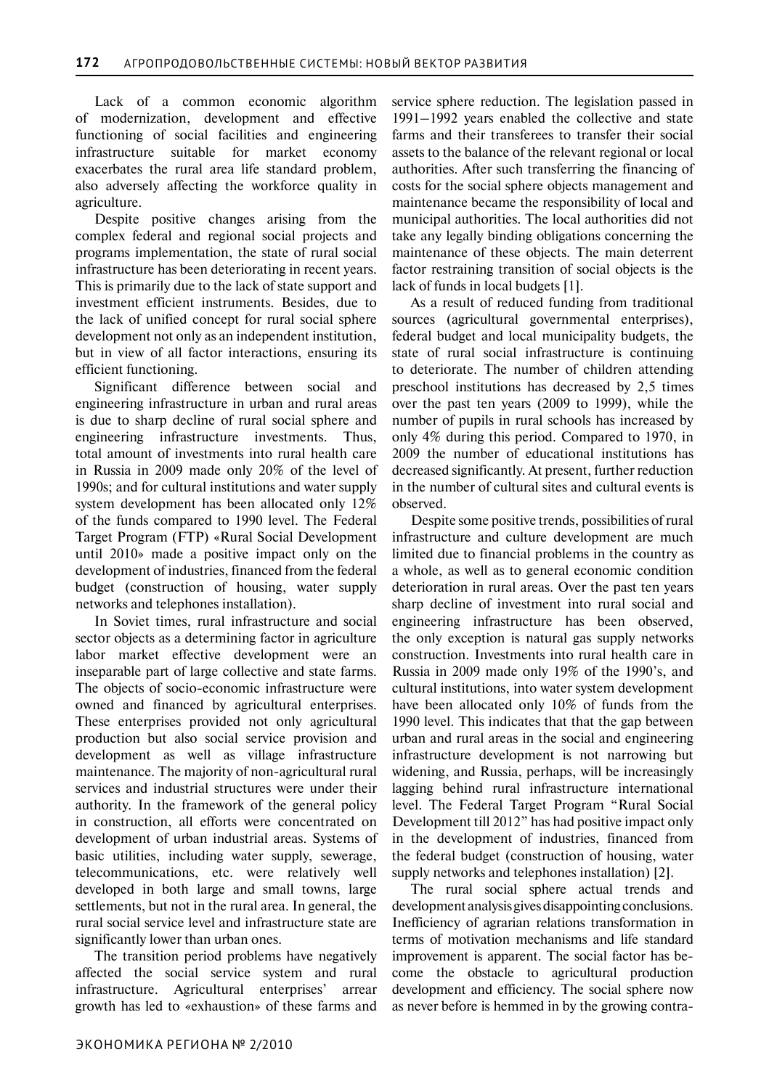Lack of a common economic algorithm of modernization, development and effective functioning of social facilities and engineering infrastructure suitable for market economy exacerbates the rural area life standard problem, also adversely affecting the workforce quality in agriculture.

Despite positive changes arising from the complex federal and regional social projects and programs implementation, the state of rural social infrastructure has been deteriorating in recent years. This is primarily due to the lack of state support and investment efficient instruments. Besides, due to the lack of unified concept for rural social sphere development not only as an independent institution, but in view of all factor interactions, ensuring its efficient functioning.

Significant difference between social and engineering infrastructure in urban and rural areas is due to sharp decline of rural social sphere and engineering infrastructure investments. Thus, total amount of investments into rural health care in Russia in 2009 made only 20% of the level of 1990s; and for cultural institutions and water supply system development has been allocated only 12% of the funds compared to 1990 level. The Federal Target Program (FTP) «Rural Social Development until 2010» made a positive impact only on the development of industries, financed from the federal budget (construction of housing, water supply networks and telephones installation).

In Soviet times, rural infrastructure and social sector objects as a determining factor in agriculture labor market effective development were an inseparable part of large collective and state farms. The objects of socio-economic infrastructure were owned and financed by agricultural enterprises. These enterprises provided not only agricultural production but also social service provision and development as well as village infrastructure maintenance. The majority of non-agricultural rural services and industrial structures were under their authority. In the framework of the general policy in construction, all efforts were concentrated on development of urban industrial areas. Systems of basic utilities, including water supply, sewerage, telecommunications, etc. were relatively well developed in both large and small towns, large settlements, but not in the rural area. In general, the rural social service level and infrastructure state are significantly lower than urban ones.

The transition period problems have negatively affected the social service system and rural infrastructure. Agricultural enterprises' arrear growth has led to «exhaustion» of these farms and service sphere reduction. The legislation passed in 1991–1992 years enabled the collective and state farms and their transferees to transfer their social assets to the balance of the relevant regional or local authorities. After such transferring the financing of costs for the social sphere objects management and maintenance became the responsibility of local and municipal authorities. The local authorities did not take any legally binding obligations concerning the maintenance of these objects. The main deterrent factor restraining transition of social objects is the lack of funds in local budgets [1].

As a result of reduced funding from traditional sources (agricultural governmental enterprises), federal budget and local municipality budgets, the state of rural social infrastructure is continuing to deteriorate. The number of children attending preschool institutions has decreased by 2,5 times over the past ten years (2009 to 1999), while the number of pupils in rural schools has increased by only 4% during this period. Compared to 1970, in 2009 the number of educational institutions has decreased significantly. At present, further reduction in the number of cultural sites and cultural events is observed.

Despite some positive trends, possibilities of rural infrastructure and culture development are much limited due to financial problems in the country as a whole, as well as to general economic condition deterioration in rural areas. Over the past ten years sharp decline of investment into rural social and engineering infrastructure has been observed, the only exception is natural gas supply networks construction. Investments into rural health care in Russia in 2009 made only 19% of the 1990's, and cultural institutions, into water system development have been allocated only 10% of funds from the 1990 level. This indicates that that the gap between urban and rural areas in the social and engineering infrastructure development is not narrowing but widening, and Russia, perhaps, will be increasingly lagging behind rural infrastructure international level. The Federal Target Program "Rural Social Development till 2012" has had positive impact only in the development of industries, financed from the federal budget (construction of housing, water supply networks and telephones installation) [2].

The rural social sphere actual trends and development analysis gives disappointing conclusions. Inefficiency of agrarian relations transformation in terms of motivation mechanisms and life standard improvement is apparent. The social factor has become the obstacle to agricultural production development and efficiency. The social sphere now as never before is hemmed in by the growing contra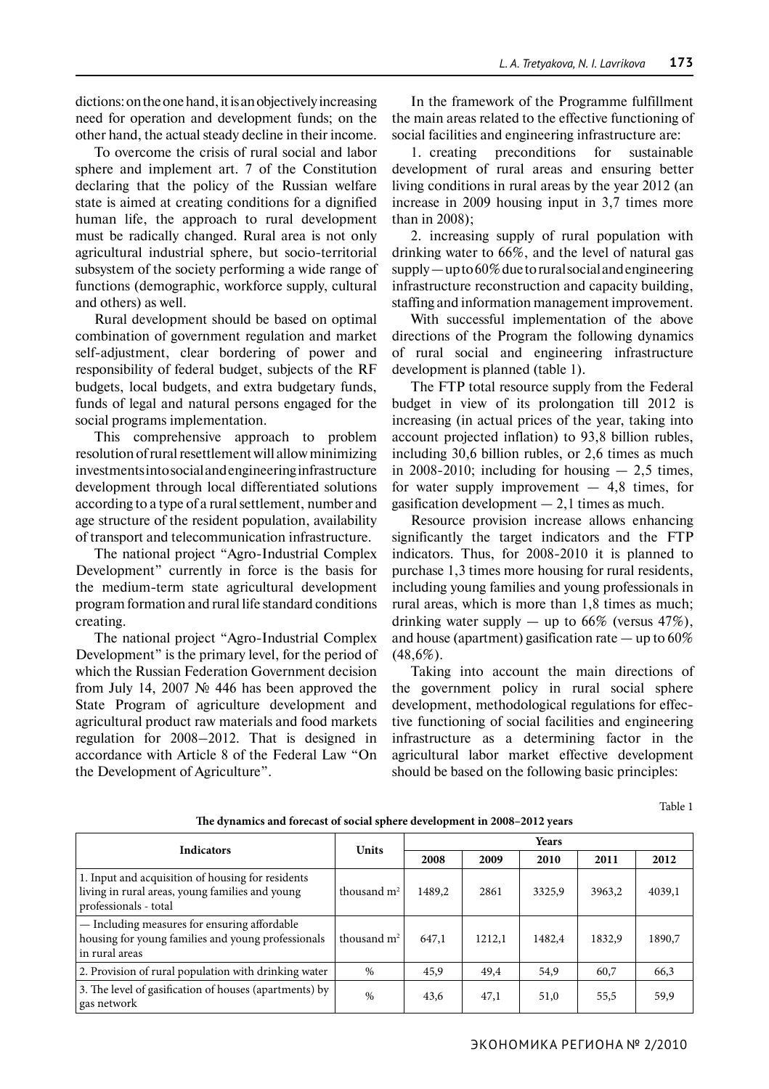dictions: on the one hand, it is an objectively increasing need for operation and development funds; on the other hand, the actual steady decline in their income.

To overcome the crisis of rural social and labor sphere and implement art. 7 of the Constitution declaring that the policy of the Russian welfare state is aimed at creating conditions for a dignified human life, the approach to rural development must be radically changed. Rural area is not only agricultural industrial sphere, but socio-territorial subsystem of the society performing a wide range of functions (demographic, workforce supply, cultural and others) as well.

Rural development should be based on optimal combination of government regulation and market self-adjustment, clear bordering of power and responsibility of federal budget, subjects of the RF budgets, local budgets, and extra budgetary funds, funds of legal and natural persons engaged for the social programs implementation.

This comprehensive approach to problem resolution of rural resettlement will allow minimizing investments into social and engineering infrastructure development through local differentiated solutions according to a type of a rural settlement, number and age structure of the resident population, availability of transport and telecommunication infrastructure.

The national project "Agro-Industrial Complex Development" currently in force is the basis for the medium-term state agricultural development program formation and rural life standard conditions creating.

The national project "Agro-Industrial Complex Development" is the primary level, for the period of which the Russian Federation Government decision from July 14, 2007 № 446 has been approved the State Program of agriculture development and agricultural product raw materials and food markets regulation for 2008–2012. That is designed in accordance with Article 8 of the Federal Law "On the Development of Agriculture".

In the framework of the Programme fulfillment the main areas related to the effective functioning of social facilities and engineering infrastructure are:

1. creating preconditions for sustainable development of rural areas and ensuring better living conditions in rural areas by the year 2012 (an increase in 2009 housing input in 3,7 times more than in 2008);

2. increasing supply of rural population with drinking water to 66%, and the level of natural gas supply — up to 60% due to rural social and engineering infrastructure reconstruction and capacity building, staffing and information management improvement.

With successful implementation of the above directions of the Program the following dynamics of rural social and engineering infrastructure development is planned (table 1).

The FTP total resource supply from the Federal budget in view of its prolongation till 2012 is increasing (in actual prices of the year, taking into account projected inflation) to 93,8 billion rubles, including 30,6 billion rubles, or 2,6 times as much in 2008-2010; including for housing  $-2.5$  times, for water supply improvement  $-4,8$  times, for gasification development  $-2.1$  times as much.

Resource provision increase allows enhancing significantly the target indicators and the FTP indicators. Thus, for 2008-2010 it is planned to purchase 1,3 times more housing for rural residents, including young families and young professionals in rural areas, which is more than 1,8 times as much; drinking water supply  $-$  up to 66% (versus 47%), and house (apartment) gasification rate  $-$  up to 60%  $(48,6%)$ .

Taking into account the main directions of the government policy in rural social sphere development, methodological regulations for effective functioning of social facilities and engineering infrastructure as a determining factor in the agricultural labor market effective development should be based on the following basic principles:

Table 1

| The aynamics and forecast of social splicte development in 2000–2012 years                                                    |               |        |        |        |        |        |
|-------------------------------------------------------------------------------------------------------------------------------|---------------|--------|--------|--------|--------|--------|
| <b>Indicators</b>                                                                                                             | <b>Units</b>  | Years  |        |        |        |        |
|                                                                                                                               |               | 2008   | 2009   | 2010   | 2011   | 2012   |
| 1. Input and acquisition of housing for residents<br>living in rural areas, young families and young<br>professionals - total | thousand $m2$ | 1489.2 | 2861   | 3325,9 | 3963,2 | 4039,1 |
| - Including measures for ensuring affordable<br>housing for young families and young professionals<br>in rural areas          | thousand $m2$ | 647,1  | 1212.1 | 1482.4 | 1832,9 | 1890,7 |
| 2. Provision of rural population with drinking water                                                                          | $\%$          | 45,9   | 49,4   | 54,9   | 60,7   | 66,3   |
| 3. The level of gasification of houses (apartments) by<br>gas network                                                         | $\%$          | 43,6   | 47,1   | 51,0   | 55,5   | 59,9   |

**The dynamics and forecast of social sphere development in 2008–2012 years**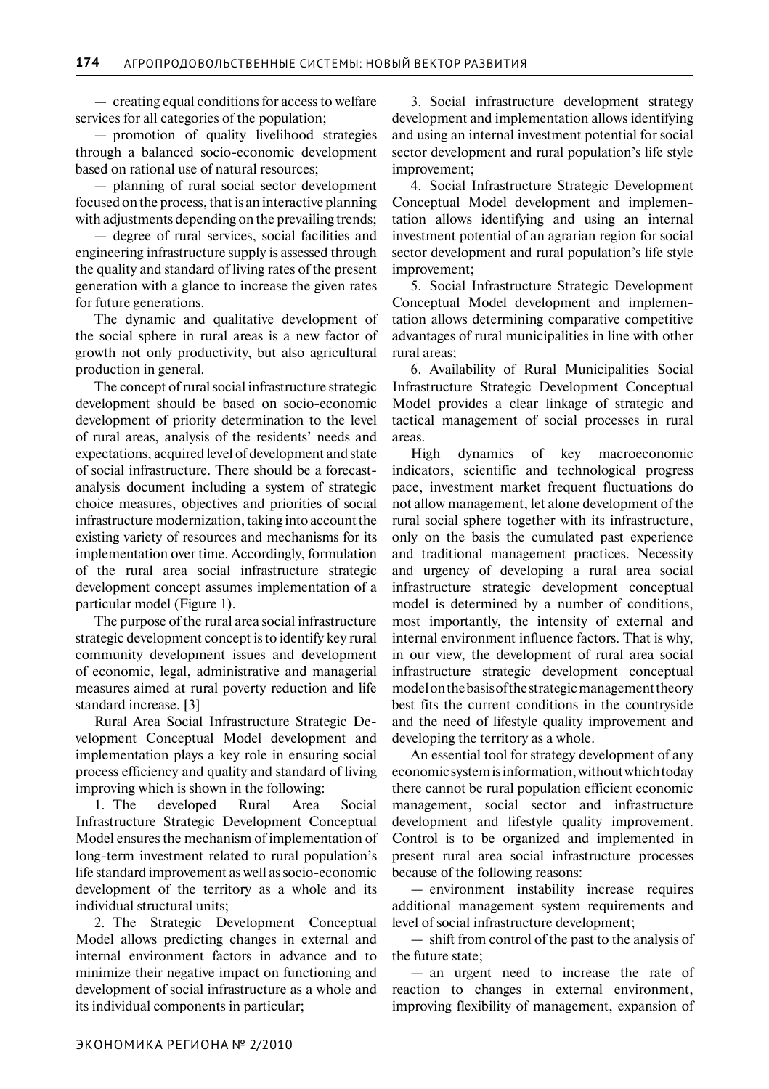— creating equal conditions for access to welfare services for all categories of the population;

— promotion of quality livelihood strategies through a balanced socio-economic development based on rational use of natural resources;

— planning of rural social sector development focused on the process, that is an interactive planning with adjustments depending on the prevailing trends;

— degree of rural services, social facilities and engineering infrastructure supply is assessed through the quality and standard of living rates of the present generation with a glance to increase the given rates for future generations.

The dynamic and qualitative development of the social sphere in rural areas is a new factor of growth not only productivity, but also agricultural production in general.

The concept of rural social infrastructure strategic development should be based on socio-economic development of priority determination to the level of rural areas, analysis of the residents' needs and expectations, acquired level of development and state of social infrastructure. There should be a forecastanalysis document including a system of strategic choice measures, objectives and priorities of social infrastructure modernization, taking into account the existing variety of resources and mechanisms for its implementation over time. Accordingly, formulation of the rural area social infrastructure strategic development concept assumes implementation of a particular model (Figure 1).

The purpose of the rural area social infrastructure strategic development concept is to identify key rural community development issues and development of economic, legal, administrative and managerial measures aimed at rural poverty reduction and life standard increase. [3]

Rural Area Social Infrastructure Strategic Development Conceptual Model development and implementation plays a key role in ensuring social process efficiency and quality and standard of living improving which is shown in the following:

1. The developed Rural Area Social Infrastructure Strategic Development Conceptual Model ensures the mechanism of implementation of long-term investment related to rural population's life standard improvement as well as socio-economic development of the territory as a whole and its individual structural units;

2. The Strategic Development Conceptual Model allows predicting changes in external and internal environment factors in advance and to minimize their negative impact on functioning and development of social infrastructure as a whole and its individual components in particular;

3. Social infrastructure development strategy development and implementation allows identifying and using an internal investment potential for social sector development and rural population's life style improvement;

4. Social Infrastructure Strategic Development Conceptual Model development and implementation allows identifying and using an internal investment potential of an agrarian region for social sector development and rural population's life style improvement;

5. Social Infrastructure Strategic Development Conceptual Model development and implementation allows determining comparative competitive advantages of rural municipalities in line with other rural areas;

6. Availability of Rural Municipalities Social Infrastructure Strategic Development Conceptual Model provides a clear linkage of strategic and tactical management of social processes in rural areas.

High dynamics of key macroeconomic indicators, scientific and technological progress pace, investment market frequent fluctuations do not allow management, let alone development of the rural social sphere together with its infrastructure, only on the basis the cumulated past experience and traditional management practices. Necessity and urgency of developing a rural area social infrastructure strategic development conceptual model is determined by a number of conditions, most importantly, the intensity of external and internal environment influence factors. That is why, in our view, the development of rural area social infrastructure strategic development conceptual model on the basis of the strategic management theory best fits the current conditions in the countryside and the need of lifestyle quality improvement and developing the territory as a whole.

An essential tool for strategy development of any economic system is information, without which today there cannot be rural population efficient economic management, social sector and infrastructure development and lifestyle quality improvement. Control is to be organized and implemented in present rural area social infrastructure processes because of the following reasons:

— environment instability increase requires additional management system requirements and level of social infrastructure development;

— shift from control of the past to the analysis of the future state;

— an urgent need to increase the rate of reaction to changes in external environment, improving flexibility of management, expansion of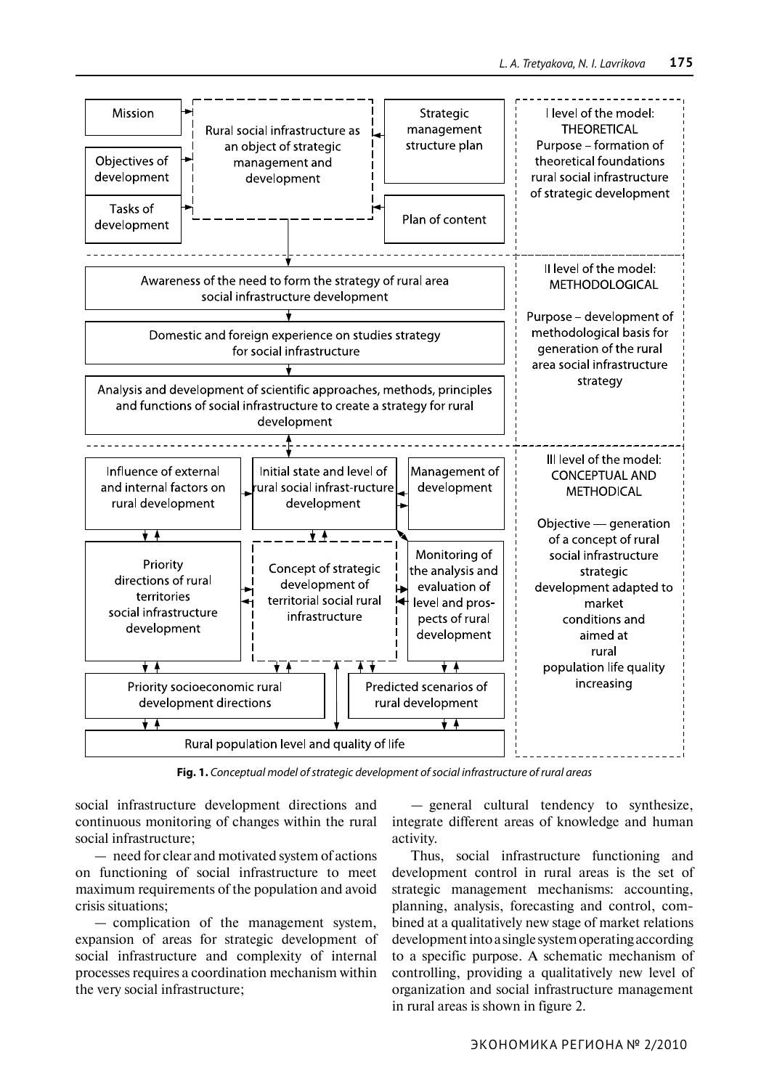

**Fig. 1.** *Conceptual model of strategic development of social infrastructure of rural areas*

social infrastructure development directions and continuous monitoring of changes within the rural social infrastructure;

— need for clear and motivated system of actions on functioning of social infrastructure to meet maximum requirements of the population and avoid crisis situations;

— complication of the management system, expansion of areas for strategic development of social infrastructure and complexity of internal processes requires a coordination mechanism within the very social infrastructure;

— general cultural tendency to synthesize, integrate different areas of knowledge and human activity.

Thus, social infrastructure functioning and development control in rural areas is the set of strategic management mechanisms: accounting, planning, analysis, forecasting and control, combined at a qualitatively new stage of market relations development into a single system operating according to a specific purpose. A schematic mechanism of controlling, providing a qualitatively new level of organization and social infrastructure management in rural areas is shown in figure 2.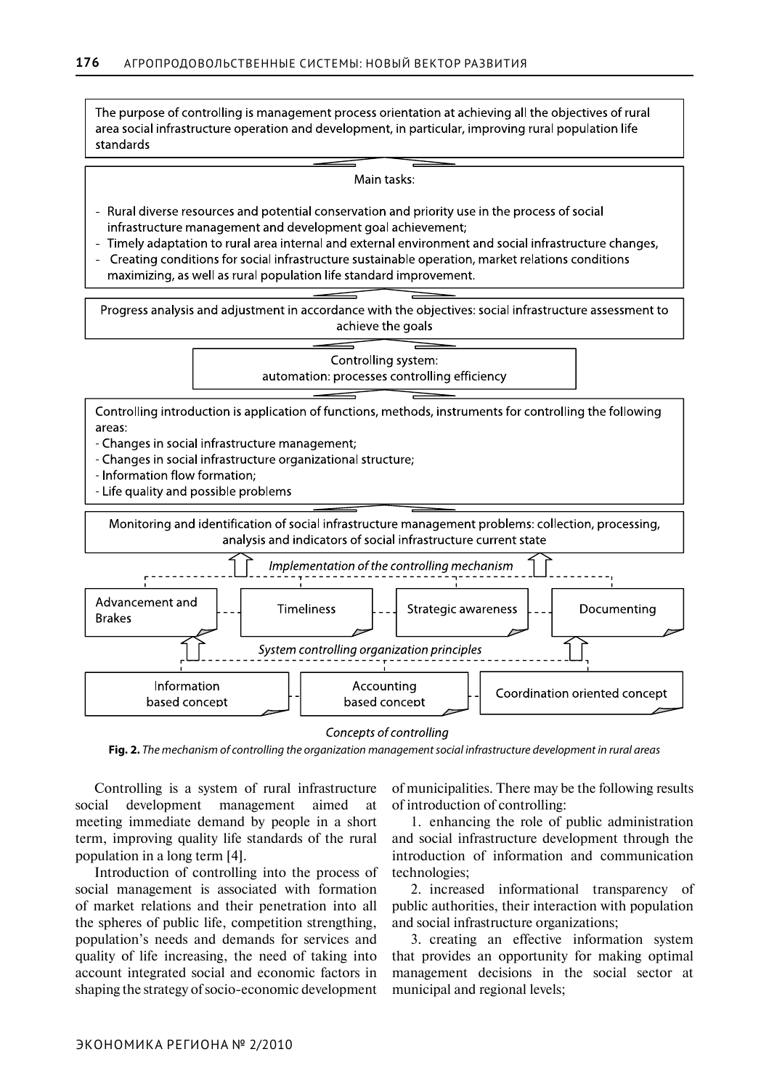The purpose of controlling is management process orientation at achieving all the objectives of rural area social infrastructure operation and development, in particular, improving rural population life standards

Main tasks:

- Rural diverse resources and potential conservation and priority use in the process of social infrastructure management and development goal achievement;
- Timely adaptation to rural area internal and external environment and social infrastructure changes,
- Creating conditions for social infrastructure sustainable operation, market relations conditions maximizing, as well as rural population life standard improvement.

Progress analysis and adjustment in accordance with the objectives: social infrastructure assessment to achieve the goals

> Controlling system: automation: processes controlling efficiency

Controlling introduction is application of functions, methods, instruments for controlling the following areas:

- Changes in social infrastructure management;
- Changes in social infrastructure organizational structure;
- Information flow formation;
- Life quality and possible problems





Concepts of controlling

**Fig. 2.** *The mechanism of controlling the organization management social infrastructure development in rural areas*

Controlling is a system of rural infrastructure social development management aimed at meeting immediate demand by people in a short term, improving quality life standards of the rural population in a long term [4].

Introduction of controlling into the process of social management is associated with formation of market relations and their penetration into all the spheres of public life, competition strengthing, population's needs and demands for services and quality of life increasing, the need of taking into account integrated social and economic factors in shaping the strategy of socio-economic development

of municipalities. There may be the following results of introduction of controlling:

1. enhancing the role of public administration and social infrastructure development through the introduction of information and communication technologies;

2. increased informational transparency of public authorities, their interaction with population and social infrastructure organizations;

3. creating an effective information system that provides an opportunity for making optimal management decisions in the social sector at municipal and regional levels;